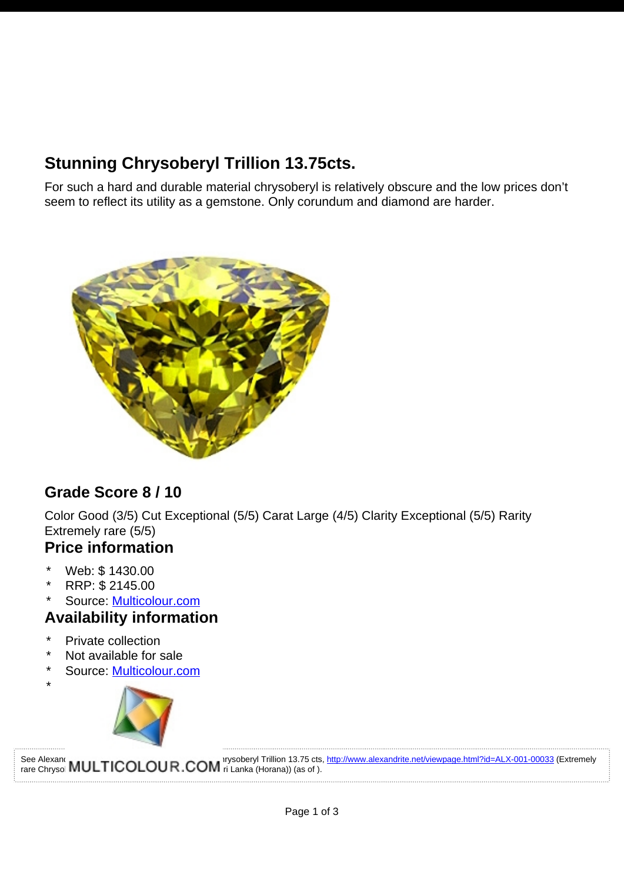# **Stunning Chrysoberyl Trillion 13.75cts.**

For such a hard and durable material chrysoberyl is relatively obscure and the low prices don't seem to reflect its utility as a gemstone. Only corundum and diamond are harder.



## **Grade Score 8 / 10**

Color Good (3/5) Cut Exceptional (5/5) Carat Large (4/5) Clarity Exceptional (5/5) Rarity Extremely rare (5/5)

#### **Price information**

- \* Web:  $$1430.00$ <br>\* PPP:  $$0445.00$
- RRP: \$ 2145.00
- \* Source: [Multicolour.com](http://www.alexandrite.net/directory/gemstone-dealers/multicolour-gems-wdd-003-00001.html)

### **Availability information**

Private collection

\*

- Not available for sale
- Source: [Multicolour.com](http://www.alexandrite.net/directory/gemstone-dealers/multicolour-gems-wdd-003-00001.html)



See Alexandrite Thromes Christopheryl Trillion 13.75 cts, <http://www.alexandrite.net/viewpage.html?id=ALX-001-00033>(Extremely rare Chrysol **IVIUL I IUULUUR.UUIVI** ri Lanka (Horana)) (as of ).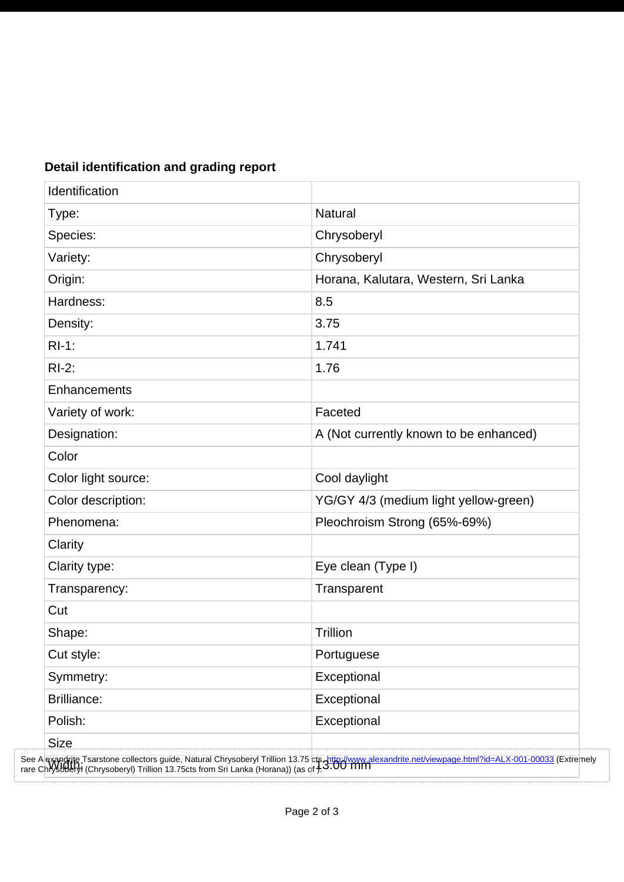| Identification      |                                                                                                                                                                                                                                   |
|---------------------|-----------------------------------------------------------------------------------------------------------------------------------------------------------------------------------------------------------------------------------|
| Type:               | <b>Natural</b>                                                                                                                                                                                                                    |
| Species:            | Chrysoberyl                                                                                                                                                                                                                       |
| Variety:            | Chrysoberyl                                                                                                                                                                                                                       |
| Origin:             | Horana, Kalutara, Western, Sri Lanka                                                                                                                                                                                              |
| Hardness:           | 8.5                                                                                                                                                                                                                               |
| Density:            | 3.75                                                                                                                                                                                                                              |
| $RI-1:$             | 1.741                                                                                                                                                                                                                             |
| $RI-2:$             | 1.76                                                                                                                                                                                                                              |
| Enhancements        |                                                                                                                                                                                                                                   |
| Variety of work:    | Faceted                                                                                                                                                                                                                           |
| Designation:        | A (Not currently known to be enhanced)                                                                                                                                                                                            |
| Color               |                                                                                                                                                                                                                                   |
| Color light source: | Cool daylight                                                                                                                                                                                                                     |
| Color description:  | YG/GY 4/3 (medium light yellow-green)                                                                                                                                                                                             |
| Phenomena:          | Pleochroism Strong (65%-69%)                                                                                                                                                                                                      |
| Clarity             |                                                                                                                                                                                                                                   |
| Clarity type:       | Eye clean (Type I)                                                                                                                                                                                                                |
| Transparency:       | Transparent                                                                                                                                                                                                                       |
| Cut                 |                                                                                                                                                                                                                                   |
| Shape:              | Trillion                                                                                                                                                                                                                          |
| Cut style:          | Portuguese                                                                                                                                                                                                                        |
| Symmetry:           | Exceptional                                                                                                                                                                                                                       |
| <b>Brilliance:</b>  | Exceptional                                                                                                                                                                                                                       |
| Polish:             | Exceptional                                                                                                                                                                                                                       |
| <b>Size</b>         |                                                                                                                                                                                                                                   |
|                     | See Alexandrite Tsarstone collectors guide, Natural Chrysoberyl Trillion 13.75 cts Attp://www.alexandrite.net/viewpage.html?id=ALX-001-00033 (Extremely<br>rare Chrysoderyi (Chrysoberyl) Trillion 13.75cts from Sri Lanka (Horan |

#### **Detail identification and grading report**

. . . . . . . . . . .